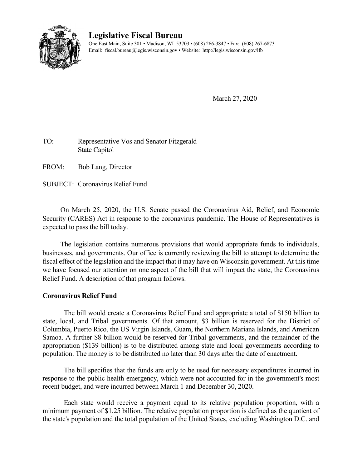

## **Legislative Fiscal Bureau**

One East Main, Suite 301 • Madison, WI 53703 • (608) 266-3847 • Fax: (608) 267-6873 Email: fiscal.bureau@legis.wisconsin.gov • Website:<http://legis.wisconsin.gov/lfb>

March 27, 2020

## TO: Representative Vos and Senator Fitzgerald State Capitol

FROM: Bob Lang, Director

SUBJECT: Coronavirus Relief Fund

On March 25, 2020, the U.S. Senate passed the Coronavirus Aid, Relief, and Economic Security (CARES) Act in response to the coronavirus pandemic. The House of Representatives is expected to pass the bill today.

The legislation contains numerous provisions that would appropriate funds to individuals, businesses, and governments. Our office is currently reviewing the bill to attempt to determine the fiscal effect of the legislation and the impact that it may have on Wisconsin government. At this time we have focused our attention on one aspect of the bill that will impact the state, the Coronavirus Relief Fund. A description of that program follows.

## **Coronavirus Relief Fund**

The bill would create a Coronavirus Relief Fund and appropriate a total of \$150 billion to state, local, and Tribal governments. Of that amount, \$3 billion is reserved for the District of Columbia, Puerto Rico, the US Virgin Islands, Guam, the Northern Mariana Islands, and American Samoa. A further \$8 billion would be reserved for Tribal governments, and the remainder of the appropriation (\$139 billion) is to be distributed among state and local governments according to population. The money is to be distributed no later than 30 days after the date of enactment.

The bill specifies that the funds are only to be used for necessary expenditures incurred in response to the public health emergency, which were not accounted for in the government's most recent budget, and were incurred between March 1 and December 30, 2020.

Each state would receive a payment equal to its relative population proportion, with a minimum payment of \$1.25 billion. The relative population proportion is defined as the quotient of the state's population and the total population of the United States, excluding Washington D.C. and